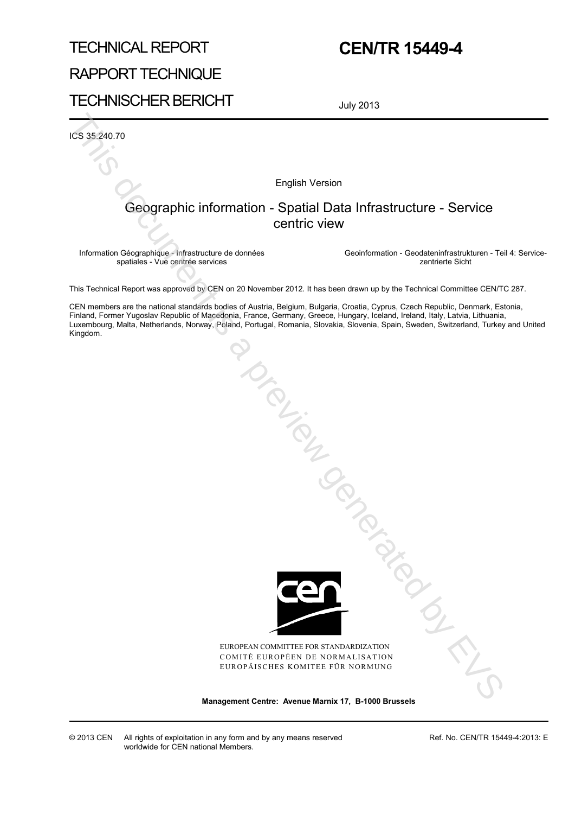# TECHNICAL REPORT RAPPORT TECHNIQUE TECHNISCHER BERICHT

## **CEN/TR 15449-4**

July 2013

ICS 35.240.70

English Version

### Geographic information - Spatial Data Infrastructure - Service centric view

Information Géographique - Infrastructure de données spatiales - Vue centrée services

 Geoinformation - Geodateninfrastrukturen - Teil 4: Servicezentrierte Sicht

This Technical Report was approved by CEN on 20 November 2012. It has been drawn up by the Technical Committee CEN/TC 287.

CEN members are the national standards bodies of Austria, Belgium, Bulgaria, Croatia, Cyprus, Czech Republic, Denmark, Estonia, Finland, Former Yugoslav Republic of Macedonia, France, Germany, Greece, Hungary, Iceland, Ireland, Italy, Latvia, Lithuania, Luxembourg, Malta, Netherlands, Norway, Poland, Portugal, Romania, Slovakia, Slovenia, Spain, Sweden, Switzerland, Turkey and United Kingdom. **Management Centre: Applies Arenain Centre: Applies Arenain Centre: Applies Arenain Centre: Applies Arenain Centre<br>
Management Centre: Applies Arenain Centre: Applies and the convenient of the contentration - Centrest Cent** 



EUROPEAN COMMITTEE FOR STANDARDIZATION COMITÉ EUROPÉEN DE NORMALISATION EUROPÄISCHES KOMITEE FÜR NORMUNG

© 2013 CEN All rights of exploitation in any form and by any means reserved worldwide for CEN national Members.

Ref. No. CEN/TR 15449-4:2013: E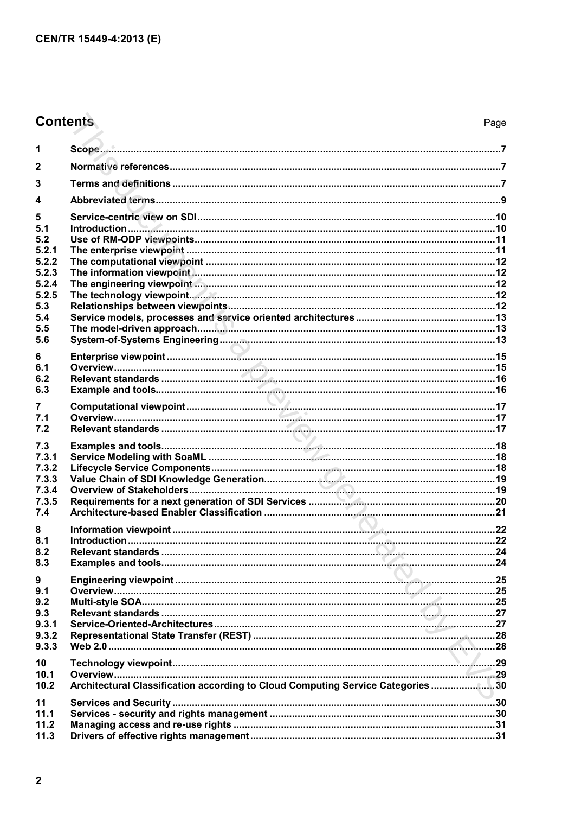## **Contents**

| 1                                                                                        |                                                                                  |  |
|------------------------------------------------------------------------------------------|----------------------------------------------------------------------------------|--|
| $\mathbf{2}$                                                                             |                                                                                  |  |
| 3                                                                                        |                                                                                  |  |
| 4                                                                                        |                                                                                  |  |
| 5<br>5.1<br>5.2<br>5.2.1<br>5.2.2<br>5.2.3<br>5.2.4<br>5.2.5<br>5.3<br>5.4<br>5.5<br>5.6 |                                                                                  |  |
| 6<br>6.1<br>6.2<br>6.3                                                                   |                                                                                  |  |
| 7<br>7.1<br>7.2                                                                          |                                                                                  |  |
| 7.3<br>7.3.1<br>7.3.2<br>7.3.3<br>7.3.4<br>7.3.5<br>7.4                                  |                                                                                  |  |
| 8<br>8.1<br>8.2<br>8.3                                                                   |                                                                                  |  |
| 9<br>9.1<br>9.2<br>9.3<br>9.3.1<br>9.3.2<br>9.3.3                                        |                                                                                  |  |
| 10 <sup>°</sup><br>10.1<br>10.2                                                          | Architectural Classification according to Cloud Computing Service Categories  30 |  |
| 11<br>11.1<br>11.2<br>11.3                                                               |                                                                                  |  |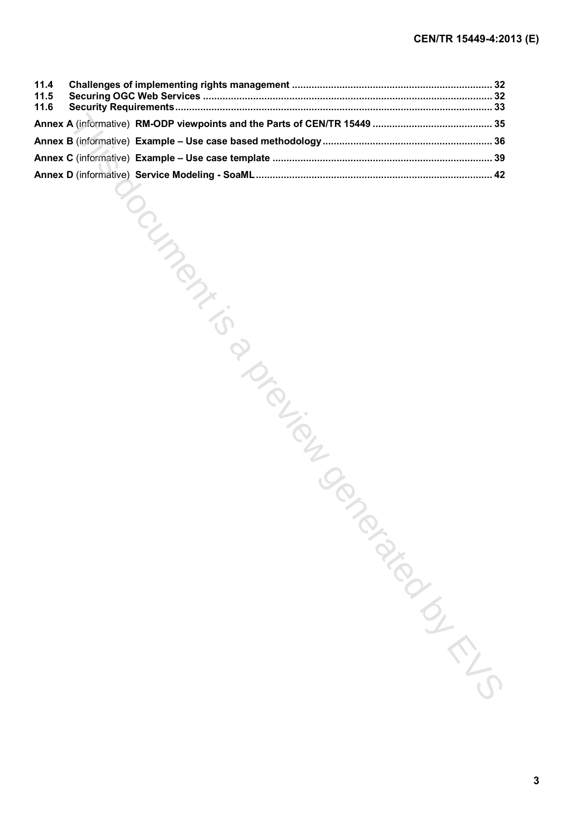| 11.4<br>11.5<br>11.6 |                                             |  |
|----------------------|---------------------------------------------|--|
|                      |                                             |  |
|                      |                                             |  |
|                      |                                             |  |
|                      |                                             |  |
|                      | <b>POLYMANTS</b><br>PIDED TON<br>TONICONICO |  |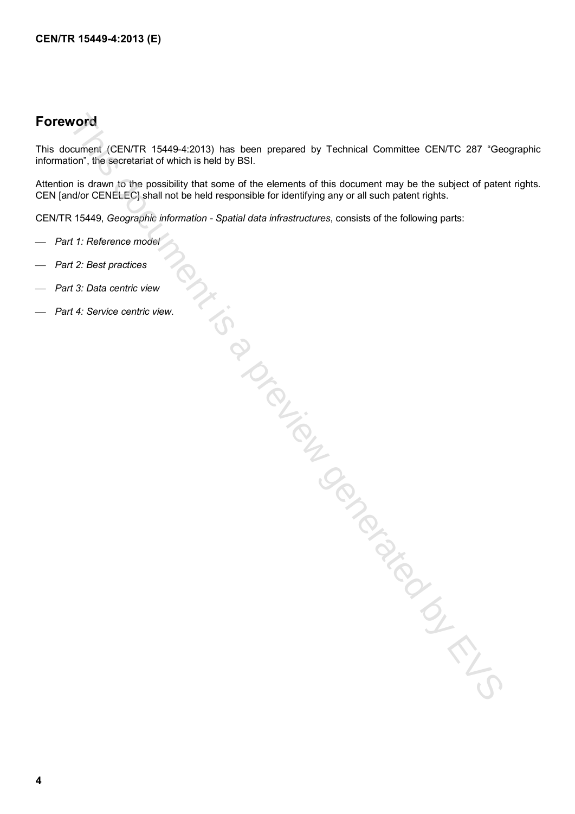## **Foreword**

This document (CEN/TR 15449-4:2013) has been prepared by Technical Committee CEN/TC 287 "Geographic information", the secretariat of which is held by BSI.

Attention is drawn to the possibility that some of the elements of this document may be the subject of patent rights. CEN [and/or CENELEC] shall not be held responsible for identifying any or all such patent rights.

CEN/TR 15449, *Geographic information - Spatial data infrastructures*, consists of the following parts:

- *Part 1: Reference model*
- *Part 2: Best practices*
- *Part 3: Data centric view*
- *Part 4: Service centric view*. Intigence of the previous conduction of the CS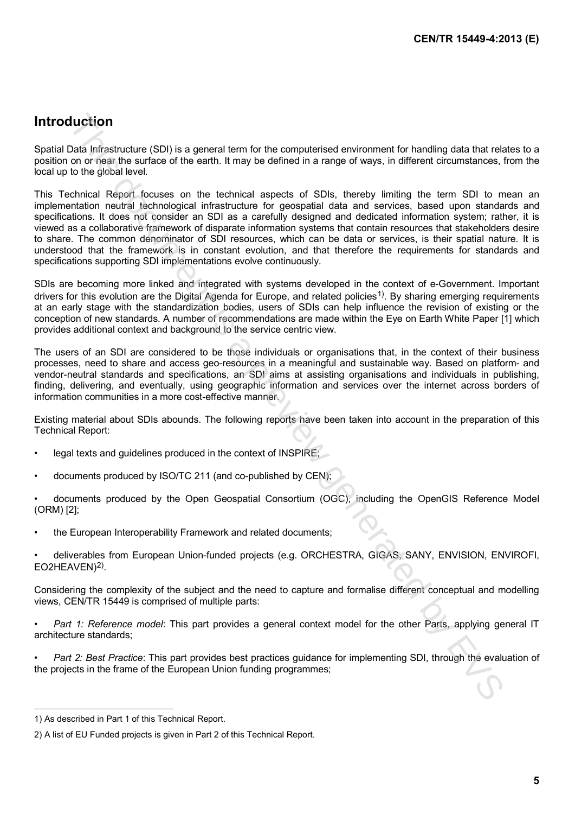### **Introduction**

Spatial Data Infrastructure (SDI) is a general term for the computerised environment for handling data that relates to a position on or near the surface of the earth. It may be defined in a range of ways, in different circumstances, from the local up to the global level.

This Technical Report focuses on the technical aspects of SDIs, thereby limiting the term SDI to mean an implementation neutral technological infrastructure for geospatial data and services, based upon standards and specifications. It does not consider an SDI as a carefully designed and dedicated information system; rather, it is viewed as a collaborative framework of disparate information systems that contain resources that stakeholders desire to share. The common denominator of SDI resources, which can be data or services, is their spatial nature. It is understood that the framework is in constant evolution, and that therefore the requirements for standards and specifications supporting SDI implementations evolve continuously. **Uuciform**<br>
Uuciform<br>
and terristence (SD) is a general lemm for the computarised environment for handing data that respect<br>
on or near the autrace of the earth. It may be defined in a range of ways, in different circumsta

SDIs are becoming more linked and integrated with systems developed in the context of e-Government. Important drivers for this evolution are the Digital Agenda for Europe, and related policies<sup>1)</sup>. By sharing emerging requirements at an early stage with the standardization bodies, users of SDIs can help influence the revision of existing or the conception of new standards. A number of recommendations are made within the Eye on Earth White Paper [1] which provides additional context and background to the service centric view.

The users of an SDI are considered to be those individuals or organisations that, in the context of their business processes, need to share and access geo-resources in a meaningful and sustainable way. Based on platform- and vendor-neutral standards and specifications, an SDI aims at assisting organisations and individuals in publishing, finding, delivering, and eventually, using geographic information and services over the internet across borders of information communities in a more cost-effective manner.

Existing material about SDIs abounds. The following reports have been taken into account in the preparation of this Technical Report:

- legal texts and quidelines produced in the context of INSPIRE;
- documents produced by ISO/TC 211 (and co-published by CEN);
- documents produced by the Open Geospatial Consortium (OGC), including the OpenGIS Reference Model (ORM) [2];
- the European Interoperability Framework and related documents;
- deliverables from European Union-funded projects (e.g. ORCHESTRA, GIGAS, SANY, ENVISION, ENVIROFI, EO2HEAVEN)<sup>2)</sup>.

Considering the complexity of the subject and the need to capture and formalise different conceptual and modelling views, CEN/TR 15449 is comprised of multiple parts:

- *Part 1: Reference model*: This part provides a general context model for the other Parts, applying general IT architecture standards;
- *Part 2: Best Practice*: This part provides best practices guidance for implementing SDI, through the evaluation of the projects in the frame of the European Union funding programmes;

j

<span id="page-4-0"></span><sup>1)</sup> As described in Part 1 of this Technical Report.

<span id="page-4-1"></span><sup>2)</sup> A list of EU Funded projects is given in Part 2 of this Technical Report.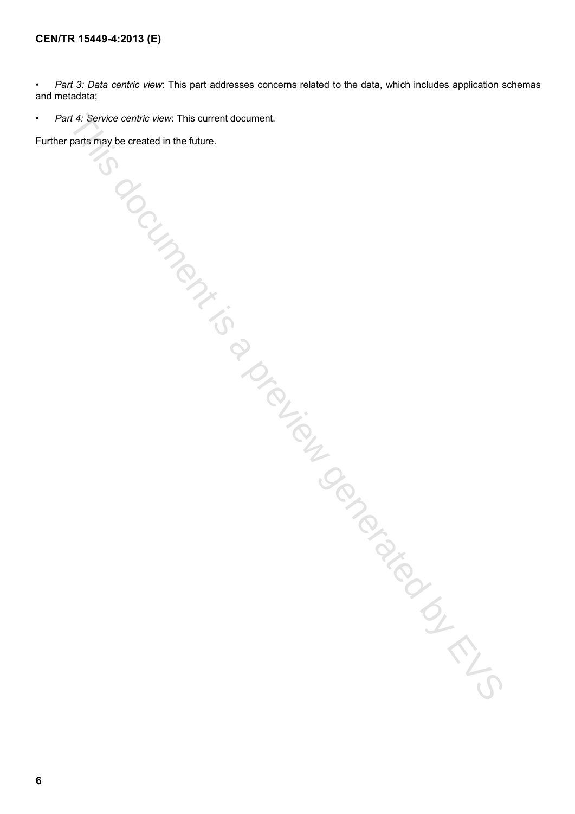• *Part 3: Data centric view*: This part addresses concerns related to the data, which includes application schemas and metadata;

• *Part 4: Service centric view*: This current document. Missiones is a previous condition of EVS

Further parts may be created in the future.